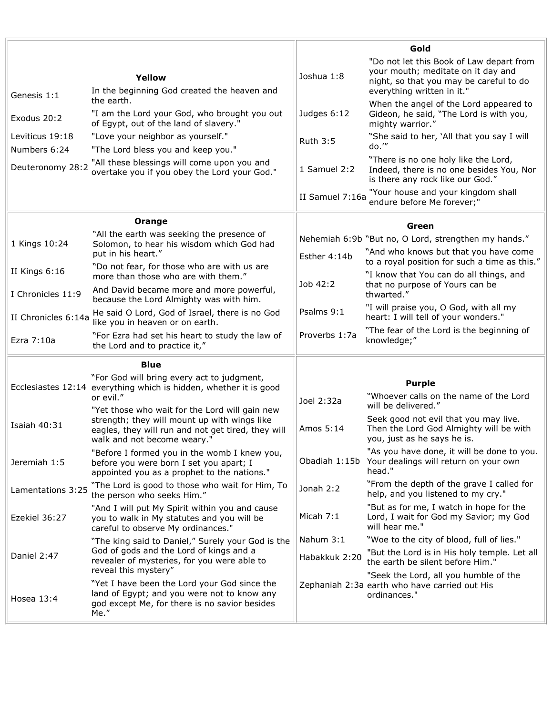|                                 |                                                                                                                                                                     | Gold            |                                                                                                                                                         |  |
|---------------------------------|---------------------------------------------------------------------------------------------------------------------------------------------------------------------|-----------------|---------------------------------------------------------------------------------------------------------------------------------------------------------|--|
| Genesis 1:1                     | Yellow<br>In the beginning God created the heaven and                                                                                                               | Joshua 1:8      | "Do not let this Book of Law depart from<br>your mouth; meditate on it day and<br>night, so that you may be careful to do<br>everything written in it." |  |
| Exodus 20:2                     | the earth.<br>"I am the Lord your God, who brought you out<br>of Egypt, out of the land of slavery."                                                                | Judges 6:12     | When the angel of the Lord appeared to<br>Gideon, he said, "The Lord is with you,<br>mighty warrior."                                                   |  |
| Leviticus 19:18<br>Numbers 6:24 | "Love your neighbor as yourself."<br>"The Lord bless you and keep you."                                                                                             | <b>Ruth 3:5</b> | "She said to her, 'All that you say I will<br>do.""                                                                                                     |  |
| Deuteronomy 28:2                | "All these blessings will come upon you and<br>overtake you if you obey the Lord your God."                                                                         | 1 Samuel 2:2    | "There is no one holy like the Lord,<br>Indeed, there is no one besides You, Nor<br>is there any rock like our God."                                    |  |
|                                 |                                                                                                                                                                     | II Samuel 7:16a | "Your house and your kingdom shall<br>endure before Me forever;"                                                                                        |  |
|                                 | Orange                                                                                                                                                              |                 | Green                                                                                                                                                   |  |
| 1 Kings 10:24                   | "All the earth was seeking the presence of<br>Solomon, to hear his wisdom which God had                                                                             |                 | Nehemiah 6:9b "But no, O Lord, strengthen my hands."                                                                                                    |  |
|                                 | put in his heart."                                                                                                                                                  | Esther 4:14b    | "And who knows but that you have come<br>to a royal position for such a time as this."                                                                  |  |
| II Kings 6:16                   | "Do not fear, for those who are with us are<br>more than those who are with them."                                                                                  |                 | "I know that You can do all things, and                                                                                                                 |  |
| I Chronicles 11:9               | And David became more and more powerful,<br>because the Lord Almighty was with him.                                                                                 | Job 42:2        | that no purpose of Yours can be<br>thwarted."                                                                                                           |  |
| II Chronicles 6:14a             | He said O Lord, God of Israel, there is no God<br>like you in heaven or on earth.                                                                                   | Psalms 9:1      | "I will praise you, O God, with all my<br>heart: I will tell of your wonders."                                                                          |  |
| Ezra 7:10a                      | "For Ezra had set his heart to study the law of<br>the Lord and to practice it,"                                                                                    | Proverbs 1:7a   | "The fear of the Lord is the beginning of<br>knowledge;"                                                                                                |  |
|                                 | <b>Blue</b>                                                                                                                                                         |                 |                                                                                                                                                         |  |
|                                 | "For God will bring every act to judgment,<br>Ecclesiastes 12:14 everything which is hidden, whether it is good<br>or evil."                                        | Joel 2:32a      | <b>Purple</b><br>"Whoever calls on the name of the Lord                                                                                                 |  |
|                                 | "Yet those who wait for the Lord will gain new                                                                                                                      |                 | will be delivered."                                                                                                                                     |  |
| <b>Isaiah 40:31</b>             | strength; they will mount up with wings like<br>eagles, they will run and not get tired, they will<br>walk and not become weary."                                   | Amos 5:14       | Seek good not evil that you may live.<br>Then the Lord God Almighty will be with<br>you, just as he says he is.                                         |  |
| Jeremiah 1:5                    | "Before I formed you in the womb I knew you,<br>before you were born I set you apart; I<br>appointed you as a prophet to the nations."                              |                 | "As you have done, it will be done to you.<br>Obadiah 1:15b Your dealings will return on your own<br>head."                                             |  |
| Lamentations 3:25               | "The Lord is good to those who wait for Him, To<br>the person who seeks Him."                                                                                       | Jonah $2:2$     | "From the depth of the grave I called for<br>help, and you listened to my cry."                                                                         |  |
| Ezekiel 36:27                   | "And I will put My Spirit within you and cause<br>you to walk in My statutes and you will be<br>careful to observe My ordinances."                                  | Micah 7:1       | "But as for me, I watch in hope for the<br>Lord, I wait for God my Savior; my God<br>will hear me."                                                     |  |
| Daniel 2:47                     | "The king said to Daniel," Surely your God is the<br>God of gods and the Lord of kings and a<br>revealer of mysteries, for you were able to<br>reveal this mystery" | Nahum 3:1       | "Woe to the city of blood, full of lies."                                                                                                               |  |
|                                 |                                                                                                                                                                     | Habakkuk 2:20   | "But the Lord is in His holy temple. Let all<br>the earth be silent before Him."                                                                        |  |
| Hosea 13:4                      | "Yet I have been the Lord your God since the<br>land of Egypt; and you were not to know any<br>god except Me, for there is no savior besides<br>Me."                |                 | "Seek the Lord, all you humble of the<br>Zephaniah 2:3a earth who have carried out His<br>ordinances."                                                  |  |